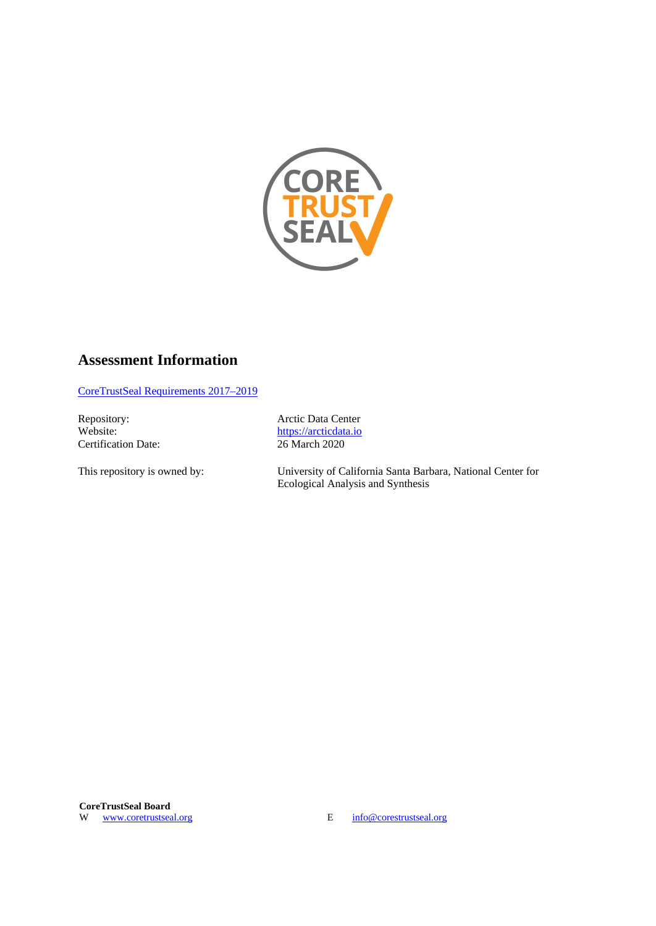

### **Assessment Information**

[CoreTrustSeal Requirements 2017–2019](http://www.coretrustseal.org/wp-content/uploads/2017/01/Core_Trustworthy_Data_Repositories_Requirements_01_00.pdf)

Repository: Arctic Data Center<br>Website: https://arcticdata.io **Certification Date:** 

[https://arcticdata.io](https://arcticdata.io/)<br>26 March 2020

This repository is owned by: University of California Santa Barbara, National Center for Ecological Analysis and Synthesis

W [www.coretrustseal.org](https://www.coretrustseal.org/) E [info@corestrustseal.org](mailto:info@corestrustseal.org)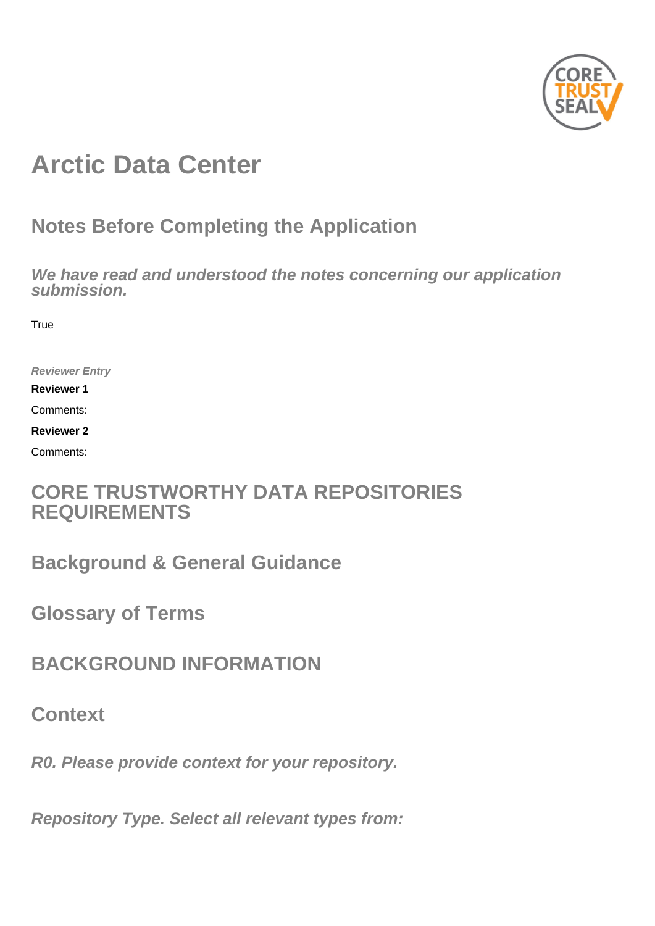

# **Arctic Data Center**

## **Notes Before Completing the Application**

**We have read and understood the notes concerning our application submission.**

**True** 

**Reviewer Entry**

**Reviewer 1**

Comments:

**Reviewer 2**

Comments:

## **CORE TRUSTWORTHY DATA REPOSITORIES REQUIREMENTS**

**Background & General Guidance**

**Glossary of Terms**

**BACKGROUND INFORMATION**

**Context**

**R0. Please provide context for your repository.**

**Repository Type. Select all relevant types from:**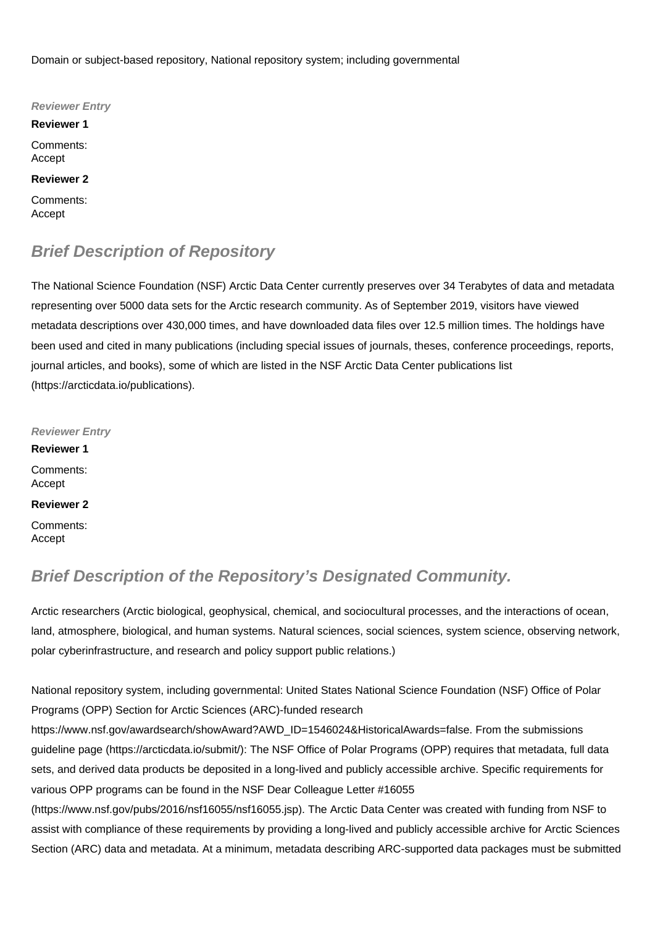Domain or subject-based repository, National repository system; including governmental

**Reviewer Entry Reviewer 1** Comments: Accept **Reviewer 2** Comments: Accept

## **Brief Description of Repository**

The National Science Foundation (NSF) Arctic Data Center currently preserves over 34 Terabytes of data and metadata representing over 5000 data sets for the Arctic research community. As of September 2019, visitors have viewed metadata descriptions over 430,000 times, and have downloaded data files over 12.5 million times. The holdings have been used and cited in many publications (including special issues of journals, theses, conference proceedings, reports, journal articles, and books), some of which are listed in the NSF Arctic Data Center publications list (https://arcticdata.io/publications).

**Reviewer Entry Reviewer 1** Comments: Accept **Reviewer 2** Comments: Accept

## **Brief Description of the Repository's Designated Community.**

Arctic researchers (Arctic biological, geophysical, chemical, and sociocultural processes, and the interactions of ocean, land, atmosphere, biological, and human systems. Natural sciences, social sciences, system science, observing network, polar cyberinfrastructure, and research and policy support public relations.)

National repository system, including governmental: United States National Science Foundation (NSF) Office of Polar Programs (OPP) Section for Arctic Sciences (ARC)-funded research

https://www.nsf.gov/awardsearch/showAward?AWD\_ID=1546024&HistoricalAwards=false. From the submissions guideline page (https://arcticdata.io/submit/): The NSF Office of Polar Programs (OPP) requires that metadata, full data sets, and derived data products be deposited in a long-lived and publicly accessible archive. Specific requirements for various OPP programs can be found in the NSF Dear Colleague Letter #16055

(https://www.nsf.gov/pubs/2016/nsf16055/nsf16055.jsp). The Arctic Data Center was created with funding from NSF to assist with compliance of these requirements by providing a long-lived and publicly accessible archive for Arctic Sciences Section (ARC) data and metadata. At a minimum, metadata describing ARC-supported data packages must be submitted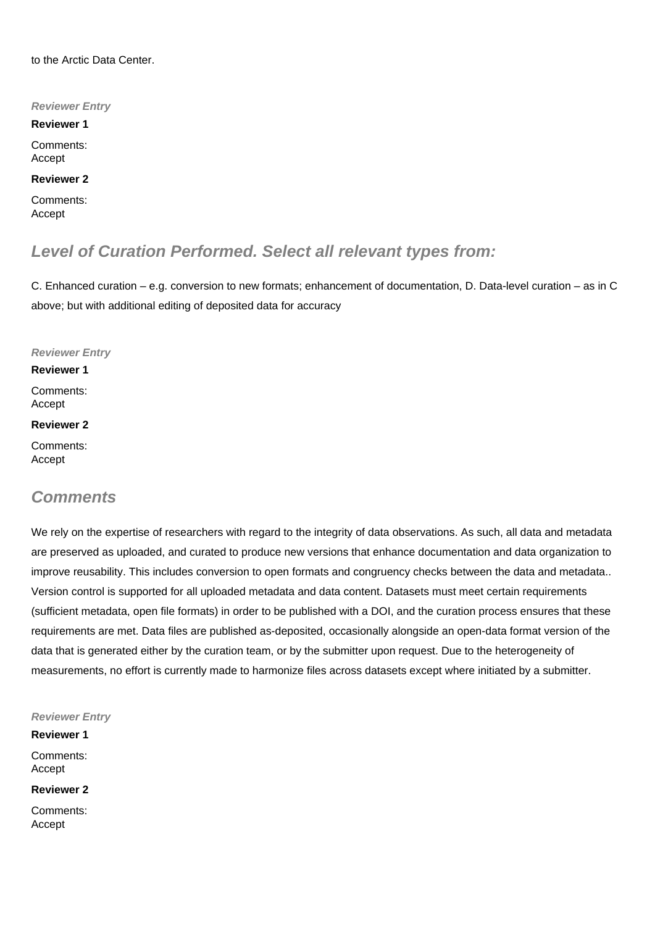to the Arctic Data Center.

**Reviewer Entry**

**Reviewer 1**

Comments: Accept

**Reviewer 2**

Comments: Accept

## **Level of Curation Performed. Select all relevant types from:**

C. Enhanced curation – e.g. conversion to new formats; enhancement of documentation, D. Data-level curation – as in C above; but with additional editing of deposited data for accuracy

**Reviewer Entry**

#### **Reviewer 1**

Comments: Accept

#### **Reviewer 2**

Comments: Accept

### **Comments**

We rely on the expertise of researchers with regard to the integrity of data observations. As such, all data and metadata are preserved as uploaded, and curated to produce new versions that enhance documentation and data organization to improve reusability. This includes conversion to open formats and congruency checks between the data and metadata.. Version control is supported for all uploaded metadata and data content. Datasets must meet certain requirements (sufficient metadata, open file formats) in order to be published with a DOI, and the curation process ensures that these requirements are met. Data files are published as-deposited, occasionally alongside an open-data format version of the data that is generated either by the curation team, or by the submitter upon request. Due to the heterogeneity of measurements, no effort is currently made to harmonize files across datasets except where initiated by a submitter.

**Reviewer Entry**

**Reviewer 1** Comments: Accept

**Reviewer 2**

Comments: Accept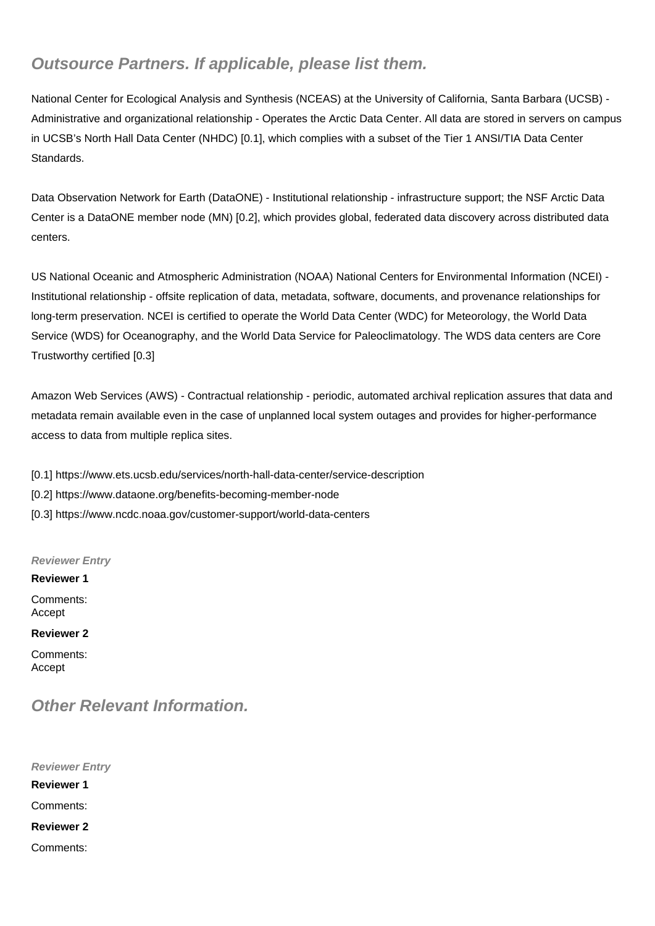## **Outsource Partners. If applicable, please list them.**

National Center for Ecological Analysis and Synthesis (NCEAS) at the University of California, Santa Barbara (UCSB) - Administrative and organizational relationship - Operates the Arctic Data Center. All data are stored in servers on campus in UCSB's North Hall Data Center (NHDC) [0.1], which complies with a subset of the Tier 1 ANSI/TIA Data Center Standards.

Data Observation Network for Earth (DataONE) - Institutional relationship - infrastructure support; the NSF Arctic Data Center is a DataONE member node (MN) [0.2], which provides global, federated data discovery across distributed data centers.

US National Oceanic and Atmospheric Administration (NOAA) National Centers for Environmental Information (NCEI) - Institutional relationship - offsite replication of data, metadata, software, documents, and provenance relationships for long-term preservation. NCEI is certified to operate the World Data Center (WDC) for Meteorology, the World Data Service (WDS) for Oceanography, and the World Data Service for Paleoclimatology. The WDS data centers are Core Trustworthy certified [0.3]

Amazon Web Services (AWS) - Contractual relationship - periodic, automated archival replication assures that data and metadata remain available even in the case of unplanned local system outages and provides for higher-performance access to data from multiple replica sites.

[0.1] https://www.ets.ucsb.edu/services/north-hall-data-center/service-description

- [0.2] https://www.dataone.org/benefits-becoming-member-node
- [0.3] https://www.ncdc.noaa.gov/customer-support/world-data-centers

**Reviewer Entry**

#### **Reviewer 1**

Comments: Accept

#### **Reviewer 2**

Comments: Accept

## **Other Relevant Information.**

**Reviewer Entry Reviewer 1** Comments: **Reviewer 2** Comments: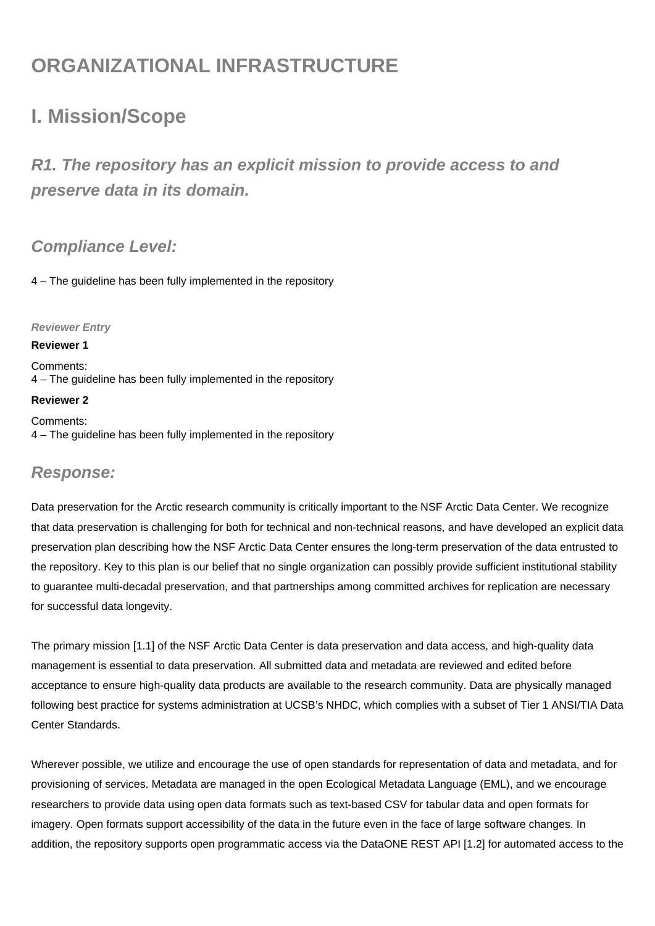## **ORGANIZATIONAL INFRASTRUCTURE**

## **I. Mission/Scope**

**R1. The repository has an explicit mission to provide access to and preserve data in its domain.**

## **Compliance Level:**

4 – The guideline has been fully implemented in the repository

#### **Reviewer Entry**

#### **Reviewer 1**

Comments: 4 – The guideline has been fully implemented in the repository

#### **Reviewer 2**

Comments: 4 – The guideline has been fully implemented in the repository

### **Response:**

Data preservation for the Arctic research community is critically important to the NSF Arctic Data Center. We recognize that data preservation is challenging for both for technical and non-technical reasons, and have developed an explicit data preservation plan describing how the NSF Arctic Data Center ensures the long-term preservation of the data entrusted to the repository. Key to this plan is our belief that no single organization can possibly provide sufficient institutional stability to guarantee multi-decadal preservation, and that partnerships among committed archives for replication are necessary for successful data longevity.

The primary mission [1.1] of the NSF Arctic Data Center is data preservation and data access, and high-quality data management is essential to data preservation. All submitted data and metadata are reviewed and edited before acceptance to ensure high-quality data products are available to the research community. Data are physically managed following best practice for systems administration at UCSB's NHDC, which complies with a subset of Tier 1 ANSI/TIA Data Center Standards.

Wherever possible, we utilize and encourage the use of open standards for representation of data and metadata, and for provisioning of services. Metadata are managed in the open Ecological Metadata Language (EML), and we encourage researchers to provide data using open data formats such as text-based CSV for tabular data and open formats for imagery. Open formats support accessibility of the data in the future even in the face of large software changes. In addition, the repository supports open programmatic access via the DataONE REST API [1.2] for automated access to the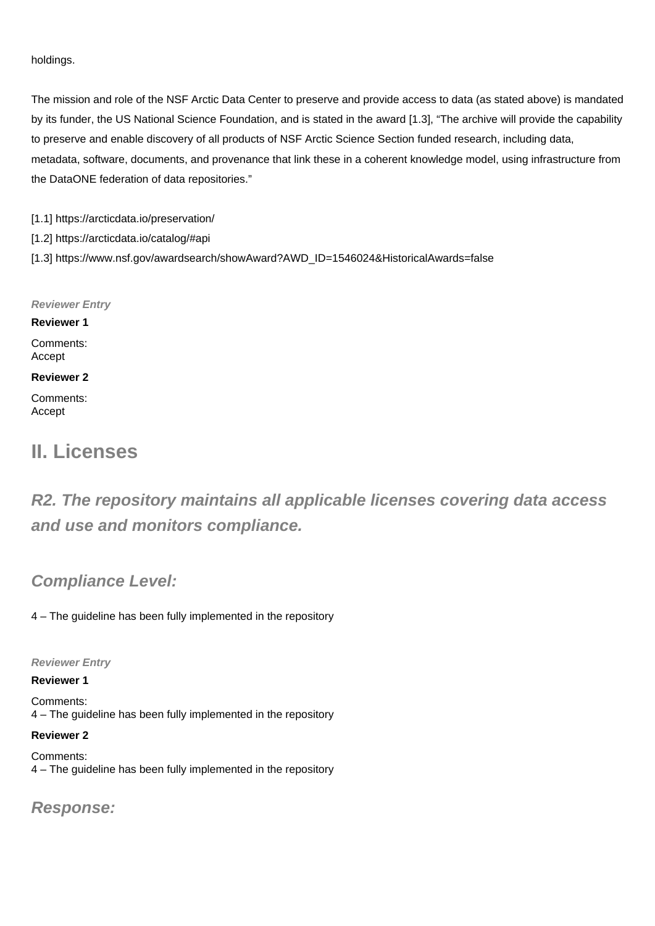#### holdings.

The mission and role of the NSF Arctic Data Center to preserve and provide access to data (as stated above) is mandated by its funder, the US National Science Foundation, and is stated in the award [1.3], "The archive will provide the capability to preserve and enable discovery of all products of NSF Arctic Science Section funded research, including data, metadata, software, documents, and provenance that link these in a coherent knowledge model, using infrastructure from the DataONE federation of data repositories."

[1.1] https://arcticdata.io/preservation/

[1.2] https://arcticdata.io/catalog/#api

[1.3] https://www.nsf.gov/awardsearch/showAward?AWD\_ID=1546024&HistoricalAwards=false

**Reviewer Entry**

**Reviewer 1** Comments: Accept

**Reviewer 2**

Comments: Accept

## **II. Licenses**

**R2. The repository maintains all applicable licenses covering data access and use and monitors compliance.**

### **Compliance Level:**

4 – The guideline has been fully implemented in the repository

**Reviewer Entry**

#### **Reviewer 1**

Comments: 4 – The guideline has been fully implemented in the repository

#### **Reviewer 2**

Comments: 4 – The guideline has been fully implemented in the repository

### **Response:**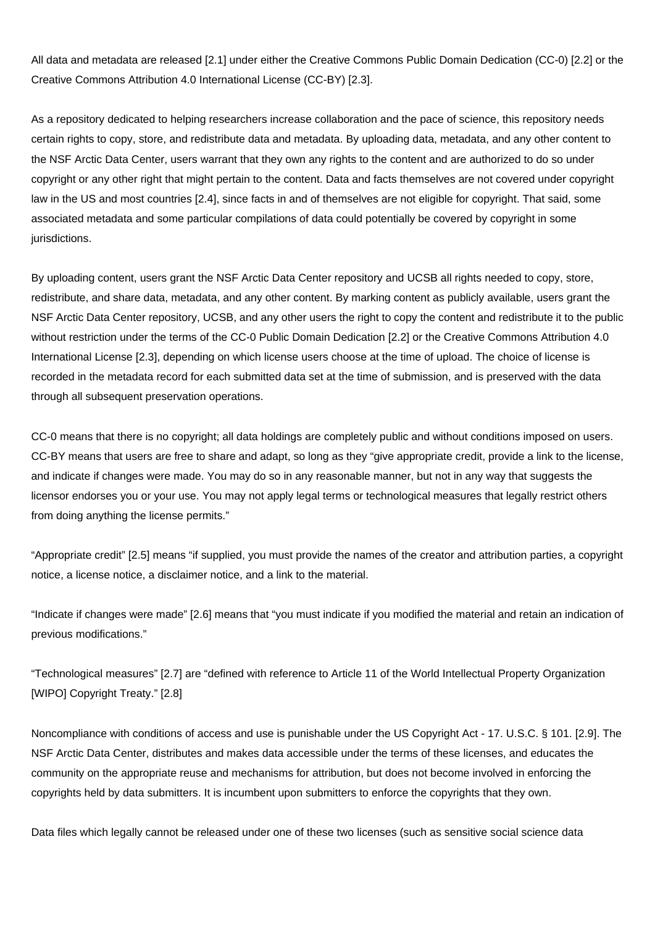All data and metadata are released [2.1] under either the Creative Commons Public Domain Dedication (CC-0) [2.2] or the Creative Commons Attribution 4.0 International License (CC-BY) [2.3].

As a repository dedicated to helping researchers increase collaboration and the pace of science, this repository needs certain rights to copy, store, and redistribute data and metadata. By uploading data, metadata, and any other content to the NSF Arctic Data Center, users warrant that they own any rights to the content and are authorized to do so under copyright or any other right that might pertain to the content. Data and facts themselves are not covered under copyright law in the US and most countries [2.4], since facts in and of themselves are not eligible for copyright. That said, some associated metadata and some particular compilations of data could potentially be covered by copyright in some jurisdictions.

By uploading content, users grant the NSF Arctic Data Center repository and UCSB all rights needed to copy, store, redistribute, and share data, metadata, and any other content. By marking content as publicly available, users grant the NSF Arctic Data Center repository, UCSB, and any other users the right to copy the content and redistribute it to the public without restriction under the terms of the CC-0 Public Domain Dedication [2.2] or the Creative Commons Attribution 4.0 International License [2.3], depending on which license users choose at the time of upload. The choice of license is recorded in the metadata record for each submitted data set at the time of submission, and is preserved with the data through all subsequent preservation operations.

CC-0 means that there is no copyright; all data holdings are completely public and without conditions imposed on users. CC-BY means that users are free to share and adapt, so long as they "give appropriate credit, provide a link to the license, and indicate if changes were made. You may do so in any reasonable manner, but not in any way that suggests the licensor endorses you or your use. You may not apply legal terms or technological measures that legally restrict others from doing anything the license permits."

"Appropriate credit" [2.5] means "if supplied, you must provide the names of the creator and attribution parties, a copyright notice, a license notice, a disclaimer notice, and a link to the material.

"Indicate if changes were made" [2.6] means that "you must indicate if you modified the material and retain an indication of previous modifications."

"Technological measures" [2.7] are "defined with reference to Article 11 of the World Intellectual Property Organization [WIPO] Copyright Treaty." [2.8]

Noncompliance with conditions of access and use is punishable under the US Copyright Act - 17. U.S.C. § 101. [2.9]. The NSF Arctic Data Center, distributes and makes data accessible under the terms of these licenses, and educates the community on the appropriate reuse and mechanisms for attribution, but does not become involved in enforcing the copyrights held by data submitters. It is incumbent upon submitters to enforce the copyrights that they own.

Data files which legally cannot be released under one of these two licenses (such as sensitive social science data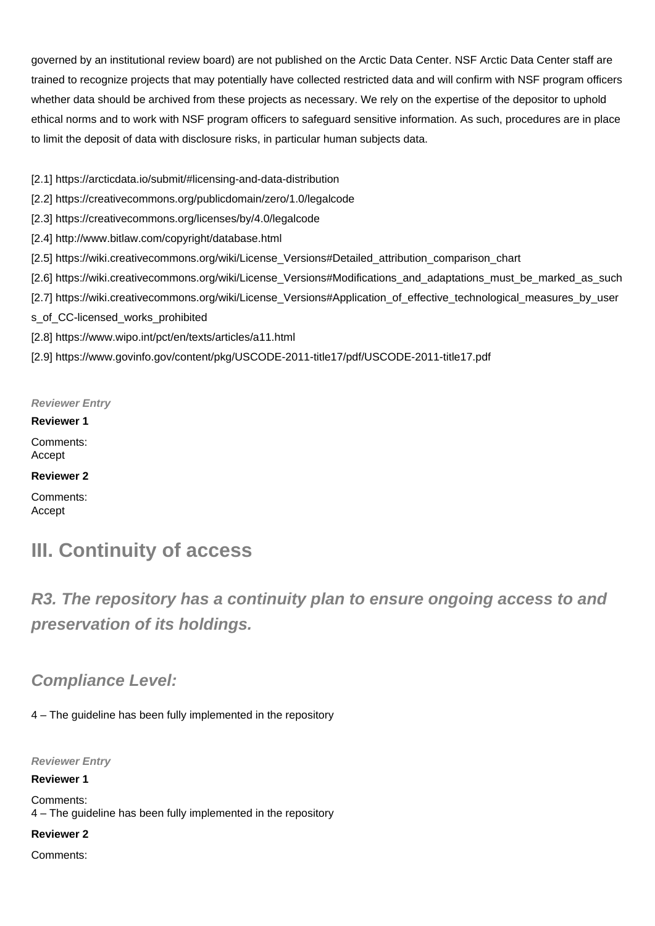governed by an institutional review board) are not published on the Arctic Data Center. NSF Arctic Data Center staff are trained to recognize projects that may potentially have collected restricted data and will confirm with NSF program officers whether data should be archived from these projects as necessary. We rely on the expertise of the depositor to uphold ethical norms and to work with NSF program officers to safeguard sensitive information. As such, procedures are in place to limit the deposit of data with disclosure risks, in particular human subjects data.

- [2.1] https://arcticdata.io/submit/#licensing-and-data-distribution
- [2.2] https://creativecommons.org/publicdomain/zero/1.0/legalcode
- [2.3] https://creativecommons.org/licenses/by/4.0/legalcode
- [2.4] http://www.bitlaw.com/copyright/database.html
- [2.5] https://wiki.creativecommons.org/wiki/License\_Versions#Detailed\_attribution\_comparison\_chart
- [2.6] https://wiki.creativecommons.org/wiki/License\_Versions#Modifications\_and\_adaptations\_must\_be\_marked\_as\_such
- [2.7] https://wiki.creativecommons.org/wiki/License\_Versions#Application\_of\_effective\_technological\_measures\_by\_user
- s\_of\_CC-licensed\_works\_prohibited
- [2.8] https://www.wipo.int/pct/en/texts/articles/a11.html
- [2.9] https://www.govinfo.gov/content/pkg/USCODE-2011-title17/pdf/USCODE-2011-title17.pdf

#### **Reviewer Entry**

#### **Reviewer 1**

Comments: Accept

#### **Reviewer 2**

Comments: Accept

## **III. Continuity of access**

**R3. The repository has a continuity plan to ensure ongoing access to and preservation of its holdings.**

## **Compliance Level:**

4 – The guideline has been fully implemented in the repository

**Reviewer Entry**

**Reviewer 1**

Comments: 4 – The guideline has been fully implemented in the repository

#### **Reviewer 2**

Comments: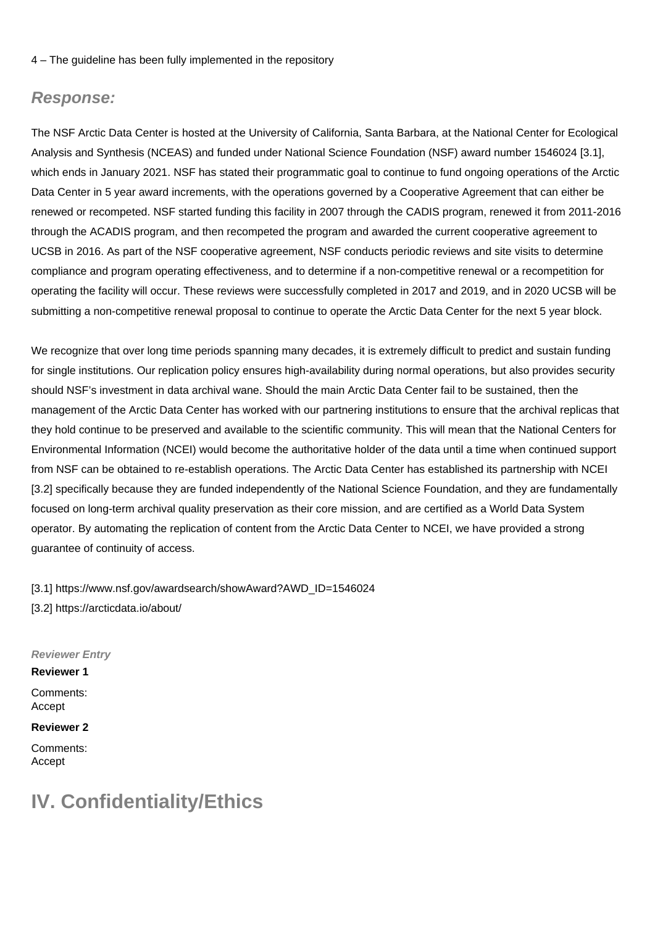#### 4 – The guideline has been fully implemented in the repository

#### **Response:**

The NSF Arctic Data Center is hosted at the University of California, Santa Barbara, at the National Center for Ecological Analysis and Synthesis (NCEAS) and funded under National Science Foundation (NSF) award number 1546024 [3.1], which ends in January 2021. NSF has stated their programmatic goal to continue to fund ongoing operations of the Arctic Data Center in 5 year award increments, with the operations governed by a Cooperative Agreement that can either be renewed or recompeted. NSF started funding this facility in 2007 through the CADIS program, renewed it from 2011-2016 through the ACADIS program, and then recompeted the program and awarded the current cooperative agreement to UCSB in 2016. As part of the NSF cooperative agreement, NSF conducts periodic reviews and site visits to determine compliance and program operating effectiveness, and to determine if a non-competitive renewal or a recompetition for operating the facility will occur. These reviews were successfully completed in 2017 and 2019, and in 2020 UCSB will be submitting a non-competitive renewal proposal to continue to operate the Arctic Data Center for the next 5 year block.

We recognize that over long time periods spanning many decades, it is extremely difficult to predict and sustain funding for single institutions. Our replication policy ensures high-availability during normal operations, but also provides security should NSF's investment in data archival wane. Should the main Arctic Data Center fail to be sustained, then the management of the Arctic Data Center has worked with our partnering institutions to ensure that the archival replicas that they hold continue to be preserved and available to the scientific community. This will mean that the National Centers for Environmental Information (NCEI) would become the authoritative holder of the data until a time when continued support from NSF can be obtained to re-establish operations. The Arctic Data Center has established its partnership with NCEI [3.2] specifically because they are funded independently of the National Science Foundation, and they are fundamentally focused on long-term archival quality preservation as their core mission, and are certified as a World Data System operator. By automating the replication of content from the Arctic Data Center to NCEI, we have provided a strong guarantee of continuity of access.

[3.1] https://www.nsf.gov/awardsearch/showAward?AWD\_ID=1546024 [3.2] https://arcticdata.io/about/

**Reviewer Entry**

**Reviewer 1** Comments: Accept

**Reviewer 2** Comments:

Accept

## **IV. Confidentiality/Ethics**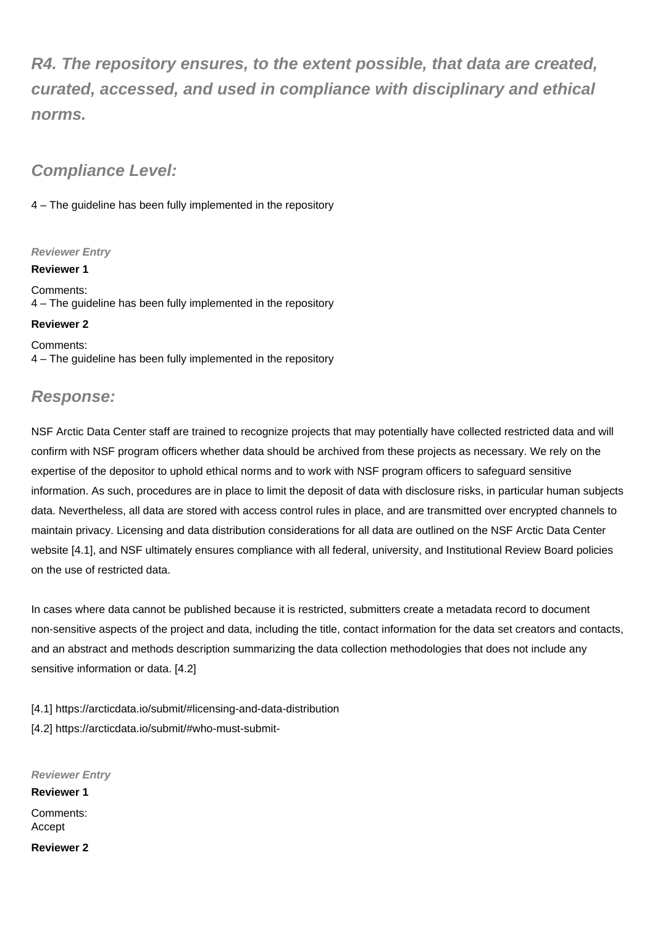**R4. The repository ensures, to the extent possible, that data are created, curated, accessed, and used in compliance with disciplinary and ethical norms.**

## **Compliance Level:**

4 – The guideline has been fully implemented in the repository

#### **Reviewer Entry**

**Reviewer 1**

Comments: 4 – The guideline has been fully implemented in the repository

#### **Reviewer 2**

Comments: 4 – The guideline has been fully implemented in the repository

## **Response:**

NSF Arctic Data Center staff are trained to recognize projects that may potentially have collected restricted data and will confirm with NSF program officers whether data should be archived from these projects as necessary. We rely on the expertise of the depositor to uphold ethical norms and to work with NSF program officers to safeguard sensitive information. As such, procedures are in place to limit the deposit of data with disclosure risks, in particular human subjects data. Nevertheless, all data are stored with access control rules in place, and are transmitted over encrypted channels to maintain privacy. Licensing and data distribution considerations for all data are outlined on the NSF Arctic Data Center website [4.1], and NSF ultimately ensures compliance with all federal, university, and Institutional Review Board policies on the use of restricted data.

In cases where data cannot be published because it is restricted, submitters create a metadata record to document non-sensitive aspects of the project and data, including the title, contact information for the data set creators and contacts, and an abstract and methods description summarizing the data collection methodologies that does not include any sensitive information or data. [4.2]

[4.1] https://arcticdata.io/submit/#licensing-and-data-distribution [4.2] https://arcticdata.io/submit/#who-must-submit-

**Reviewer Entry Reviewer 1** Comments: Accept **Reviewer 2**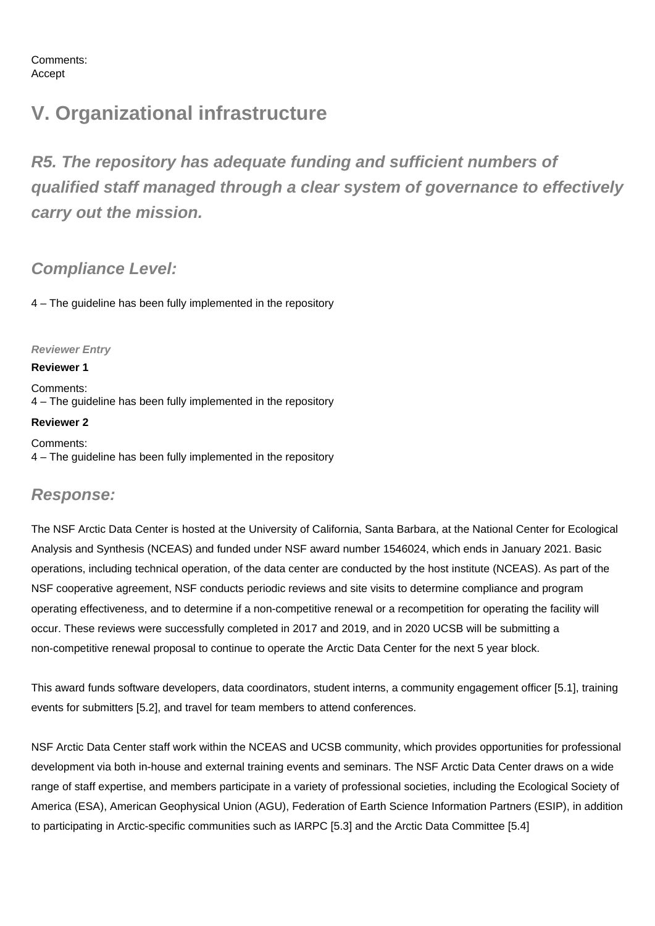Comments: Accept

## **V. Organizational infrastructure**

**R5. The repository has adequate funding and sufficient numbers of qualified staff managed through a clear system of governance to effectively carry out the mission.**

## **Compliance Level:**

4 – The guideline has been fully implemented in the repository

#### **Reviewer Entry**

#### **Reviewer 1**

**Reviewer 2**

Comments: 4 – The guideline has been fully implemented in the repository

Comments: 4 – The guideline has been fully implemented in the repository

### **Response:**

The NSF Arctic Data Center is hosted at the University of California, Santa Barbara, at the National Center for Ecological Analysis and Synthesis (NCEAS) and funded under NSF award number 1546024, which ends in January 2021. Basic operations, including technical operation, of the data center are conducted by the host institute (NCEAS). As part of the NSF cooperative agreement, NSF conducts periodic reviews and site visits to determine compliance and program operating effectiveness, and to determine if a non-competitive renewal or a recompetition for operating the facility will occur. These reviews were successfully completed in 2017 and 2019, and in 2020 UCSB will be submitting a non-competitive renewal proposal to continue to operate the Arctic Data Center for the next 5 year block.

This award funds software developers, data coordinators, student interns, a community engagement officer [5.1], training events for submitters [5.2], and travel for team members to attend conferences.

NSF Arctic Data Center staff work within the NCEAS and UCSB community, which provides opportunities for professional development via both in-house and external training events and seminars. The NSF Arctic Data Center draws on a wide range of staff expertise, and members participate in a variety of professional societies, including the Ecological Society of America (ESA), American Geophysical Union (AGU), Federation of Earth Science Information Partners (ESIP), in addition to participating in Arctic-specific communities such as IARPC [5.3] and the Arctic Data Committee [5.4]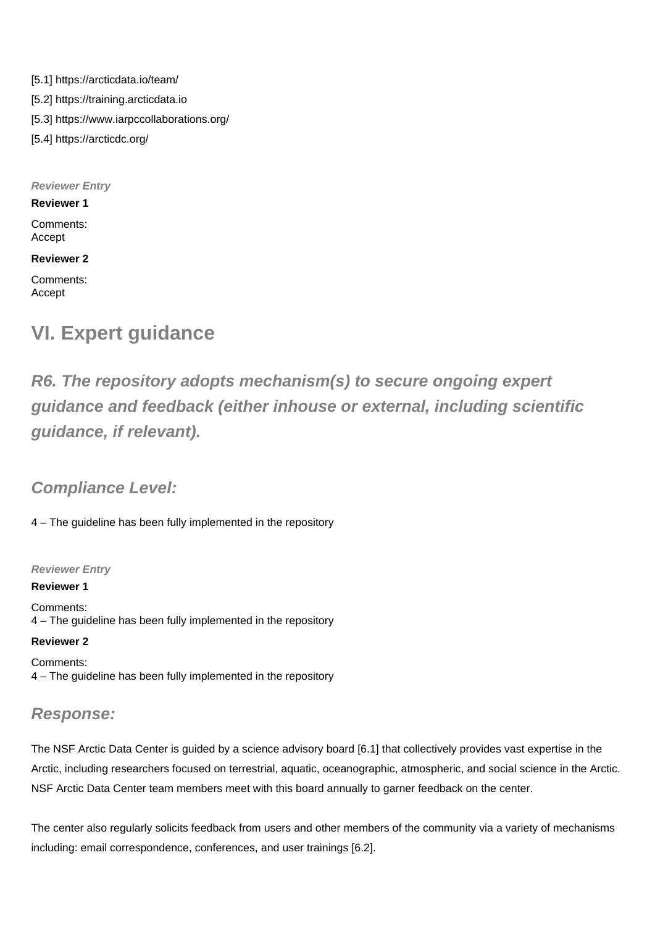[5.1] https://arcticdata.io/team/ [5.2] https://training.arcticdata.io [5.3] https://www.iarpccollaborations.org/ [5.4] https://arcticdc.org/

**Reviewer Entry**

**Reviewer 1**

Comments: Accept

**Reviewer 2**

Comments: Accept

## **VI. Expert guidance**

**R6. The repository adopts mechanism(s) to secure ongoing expert guidance and feedback (either inhouse or external, including scientific guidance, if relevant).**

## **Compliance Level:**

4 – The guideline has been fully implemented in the repository

**Reviewer Entry**

**Reviewer 1** Comments: 4 – The guideline has been fully implemented in the repository

#### **Reviewer 2**

Comments: 4 – The guideline has been fully implemented in the repository

## **Response:**

The NSF Arctic Data Center is guided by a science advisory board [6.1] that collectively provides vast expertise in the Arctic, including researchers focused on terrestrial, aquatic, oceanographic, atmospheric, and social science in the Arctic. NSF Arctic Data Center team members meet with this board annually to garner feedback on the center.

The center also regularly solicits feedback from users and other members of the community via a variety of mechanisms including: email correspondence, conferences, and user trainings [6.2].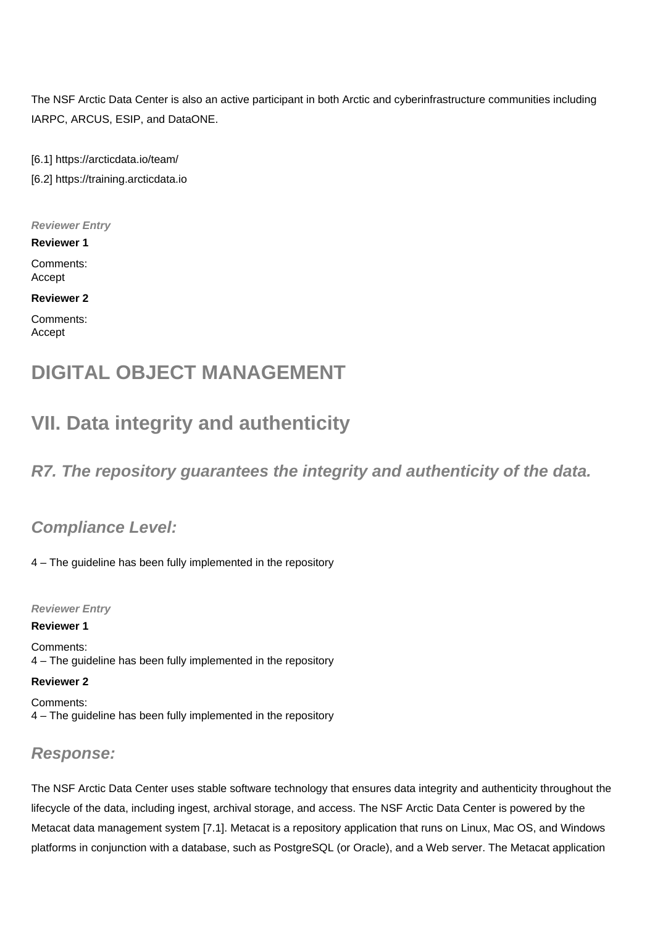The NSF Arctic Data Center is also an active participant in both Arctic and cyberinfrastructure communities including IARPC, ARCUS, ESIP, and DataONE.

[6.1] https://arcticdata.io/team/

[6.2] https://training.arcticdata.io

**Reviewer Entry**

**Reviewer 1** Comments: Accept

**Reviewer 2**

Comments: Accept

## **DIGITAL OBJECT MANAGEMENT**

## **VII. Data integrity and authenticity**

## **R7. The repository guarantees the integrity and authenticity of the data.**

## **Compliance Level:**

4 – The guideline has been fully implemented in the repository

**Reviewer Entry**

**Reviewer 1**

Comments: 4 – The guideline has been fully implemented in the repository

**Reviewer 2**

Comments: 4 – The guideline has been fully implemented in the repository

## **Response:**

The NSF Arctic Data Center uses stable software technology that ensures data integrity and authenticity throughout the lifecycle of the data, including ingest, archival storage, and access. The NSF Arctic Data Center is powered by the Metacat data management system [7.1]. Metacat is a repository application that runs on Linux, Mac OS, and Windows platforms in conjunction with a database, such as PostgreSQL (or Oracle), and a Web server. The Metacat application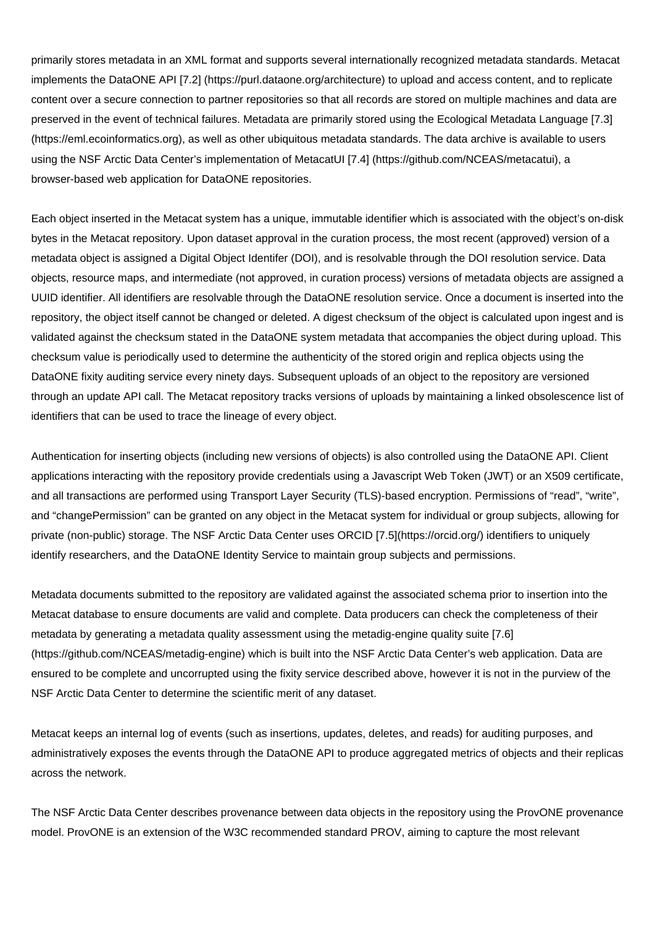primarily stores metadata in an XML format and supports several internationally recognized metadata standards. Metacat implements the DataONE API [7.2] (https://purl.dataone.org/architecture) to upload and access content, and to replicate content over a secure connection to partner repositories so that all records are stored on multiple machines and data are preserved in the event of technical failures. Metadata are primarily stored using the Ecological Metadata Language [7.3] (https://eml.ecoinformatics.org), as well as other ubiquitous metadata standards. The data archive is available to users using the NSF Arctic Data Center's implementation of MetacatUI [7.4] (https://github.com/NCEAS/metacatui), a browser-based web application for DataONE repositories.

Each object inserted in the Metacat system has a unique, immutable identifier which is associated with the object's on-disk bytes in the Metacat repository. Upon dataset approval in the curation process, the most recent (approved) version of a metadata object is assigned a Digital Object Identifer (DOI), and is resolvable through the DOI resolution service. Data objects, resource maps, and intermediate (not approved, in curation process) versions of metadata objects are assigned a UUID identifier. All identifiers are resolvable through the DataONE resolution service. Once a document is inserted into the repository, the object itself cannot be changed or deleted. A digest checksum of the object is calculated upon ingest and is validated against the checksum stated in the DataONE system metadata that accompanies the object during upload. This checksum value is periodically used to determine the authenticity of the stored origin and replica objects using the DataONE fixity auditing service every ninety days. Subsequent uploads of an object to the repository are versioned through an update API call. The Metacat repository tracks versions of uploads by maintaining a linked obsolescence list of identifiers that can be used to trace the lineage of every object.

Authentication for inserting objects (including new versions of objects) is also controlled using the DataONE API. Client applications interacting with the repository provide credentials using a Javascript Web Token (JWT) or an X509 certificate, and all transactions are performed using Transport Layer Security (TLS)-based encryption. Permissions of "read", "write", and "changePermission" can be granted on any object in the Metacat system for individual or group subjects, allowing for private (non-public) storage. The NSF Arctic Data Center uses ORCID [7.5](https://orcid.org/) identifiers to uniquely identify researchers, and the DataONE Identity Service to maintain group subjects and permissions.

Metadata documents submitted to the repository are validated against the associated schema prior to insertion into the Metacat database to ensure documents are valid and complete. Data producers can check the completeness of their metadata by generating a metadata quality assessment using the metadig-engine quality suite [7.6] (https://github.com/NCEAS/metadig-engine) which is built into the NSF Arctic Data Center's web application. Data are ensured to be complete and uncorrupted using the fixity service described above, however it is not in the purview of the NSF Arctic Data Center to determine the scientific merit of any dataset.

Metacat keeps an internal log of events (such as insertions, updates, deletes, and reads) for auditing purposes, and administratively exposes the events through the DataONE API to produce aggregated metrics of objects and their replicas across the network.

The NSF Arctic Data Center describes provenance between data objects in the repository using the ProvONE provenance model. ProvONE is an extension of the W3C recommended standard PROV, aiming to capture the most relevant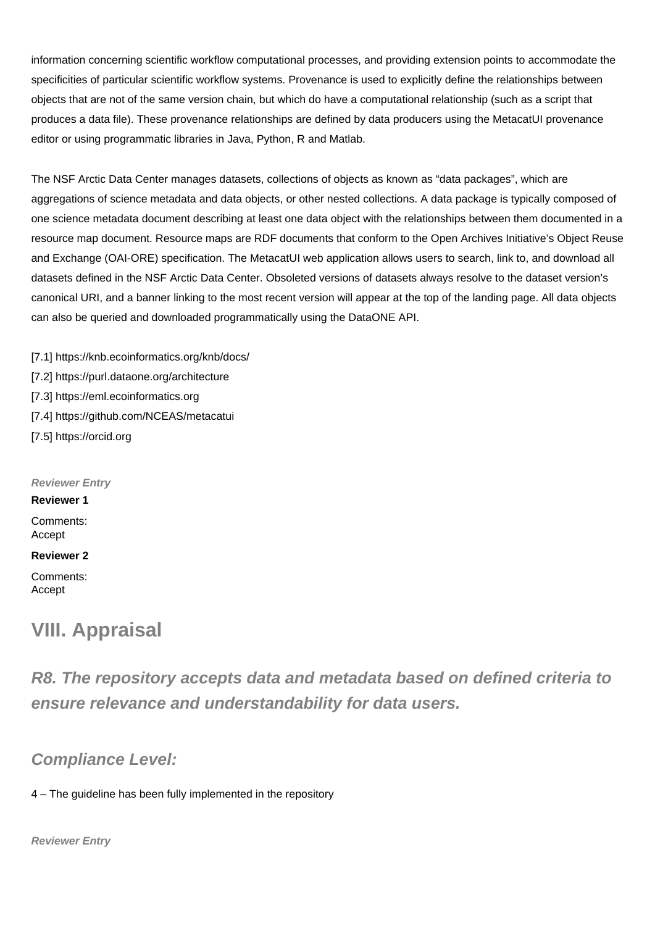information concerning scientific workflow computational processes, and providing extension points to accommodate the specificities of particular scientific workflow systems. Provenance is used to explicitly define the relationships between objects that are not of the same version chain, but which do have a computational relationship (such as a script that produces a data file). These provenance relationships are defined by data producers using the MetacatUI provenance editor or using programmatic libraries in Java, Python, R and Matlab.

The NSF Arctic Data Center manages datasets, collections of objects as known as "data packages", which are aggregations of science metadata and data objects, or other nested collections. A data package is typically composed of one science metadata document describing at least one data object with the relationships between them documented in a resource map document. Resource maps are RDF documents that conform to the Open Archives Initiative's Object Reuse and Exchange (OAI-ORE) specification. The MetacatUI web application allows users to search, link to, and download all datasets defined in the NSF Arctic Data Center. Obsoleted versions of datasets always resolve to the dataset version's canonical URI, and a banner linking to the most recent version will appear at the top of the landing page. All data objects can also be queried and downloaded programmatically using the DataONE API.

[7.1] https://knb.ecoinformatics.org/knb/docs/ [7.2] https://purl.dataone.org/architecture

- [7.3] https://eml.ecoinformatics.org
- [7.4] https://github.com/NCEAS/metacatui
- [7.5] https://orcid.org

**Reviewer Entry**

#### **Reviewer 1**

Comments: Accept

#### **Reviewer 2**

Comments: Accept

## **VIII. Appraisal**

**R8. The repository accepts data and metadata based on defined criteria to ensure relevance and understandability for data users.**

## **Compliance Level:**

4 – The guideline has been fully implemented in the repository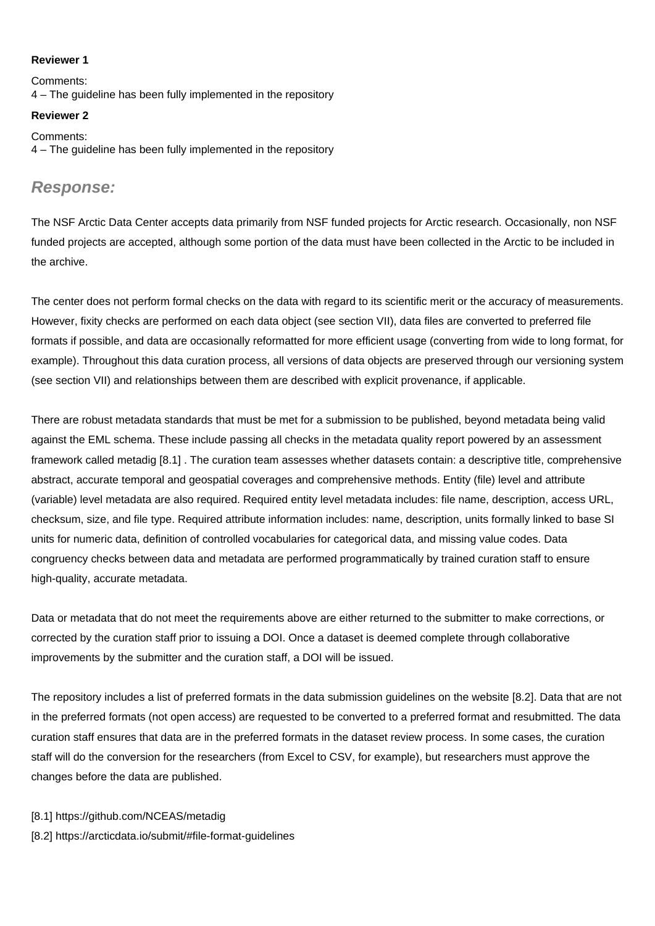#### **Reviewer 1**

Comments: 4 – The guideline has been fully implemented in the repository

#### **Reviewer 2**

Comments: 4 – The guideline has been fully implemented in the repository

### **Response:**

The NSF Arctic Data Center accepts data primarily from NSF funded projects for Arctic research. Occasionally, non NSF funded projects are accepted, although some portion of the data must have been collected in the Arctic to be included in the archive.

The center does not perform formal checks on the data with regard to its scientific merit or the accuracy of measurements. However, fixity checks are performed on each data object (see section VII), data files are converted to preferred file formats if possible, and data are occasionally reformatted for more efficient usage (converting from wide to long format, for example). Throughout this data curation process, all versions of data objects are preserved through our versioning system (see section VII) and relationships between them are described with explicit provenance, if applicable.

There are robust metadata standards that must be met for a submission to be published, beyond metadata being valid against the EML schema. These include passing all checks in the metadata quality report powered by an assessment framework called metadig [8.1] . The curation team assesses whether datasets contain: a descriptive title, comprehensive abstract, accurate temporal and geospatial coverages and comprehensive methods. Entity (file) level and attribute (variable) level metadata are also required. Required entity level metadata includes: file name, description, access URL, checksum, size, and file type. Required attribute information includes: name, description, units formally linked to base SI units for numeric data, definition of controlled vocabularies for categorical data, and missing value codes. Data congruency checks between data and metadata are performed programmatically by trained curation staff to ensure high-quality, accurate metadata.

Data or metadata that do not meet the requirements above are either returned to the submitter to make corrections, or corrected by the curation staff prior to issuing a DOI. Once a dataset is deemed complete through collaborative improvements by the submitter and the curation staff, a DOI will be issued.

The repository includes a list of preferred formats in the data submission guidelines on the website [8.2]. Data that are not in the preferred formats (not open access) are requested to be converted to a preferred format and resubmitted. The data curation staff ensures that data are in the preferred formats in the dataset review process. In some cases, the curation staff will do the conversion for the researchers (from Excel to CSV, for example), but researchers must approve the changes before the data are published.

#### [8.1] https://github.com/NCEAS/metadig

[8.2] https://arcticdata.io/submit/#file-format-guidelines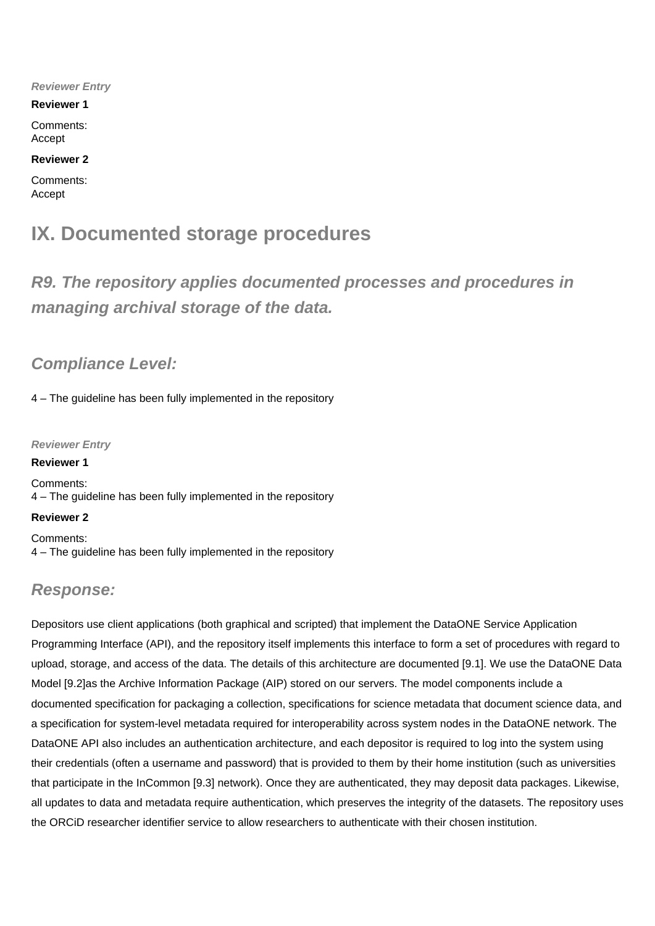#### **Reviewer Entry**

#### **Reviewer 1**

Comments: Accept

#### **Reviewer 2**

Comments: Accept

## **IX. Documented storage procedures**

**R9. The repository applies documented processes and procedures in managing archival storage of the data.**

### **Compliance Level:**

4 – The guideline has been fully implemented in the repository

**Reviewer Entry**

**Reviewer 1** Comments: 4 – The guideline has been fully implemented in the repository

#### **Reviewer 2**

Comments: 4 – The guideline has been fully implemented in the repository

## **Response:**

Depositors use client applications (both graphical and scripted) that implement the DataONE Service Application Programming Interface (API), and the repository itself implements this interface to form a set of procedures with regard to upload, storage, and access of the data. The details of this architecture are documented [9.1]. We use the DataONE Data Model [9.2]as the Archive Information Package (AIP) stored on our servers. The model components include a documented specification for packaging a collection, specifications for science metadata that document science data, and a specification for system-level metadata required for interoperability across system nodes in the DataONE network. The DataONE API also includes an authentication architecture, and each depositor is required to log into the system using their credentials (often a username and password) that is provided to them by their home institution (such as universities that participate in the InCommon [9.3] network). Once they are authenticated, they may deposit data packages. Likewise, all updates to data and metadata require authentication, which preserves the integrity of the datasets. The repository uses the ORCiD researcher identifier service to allow researchers to authenticate with their chosen institution.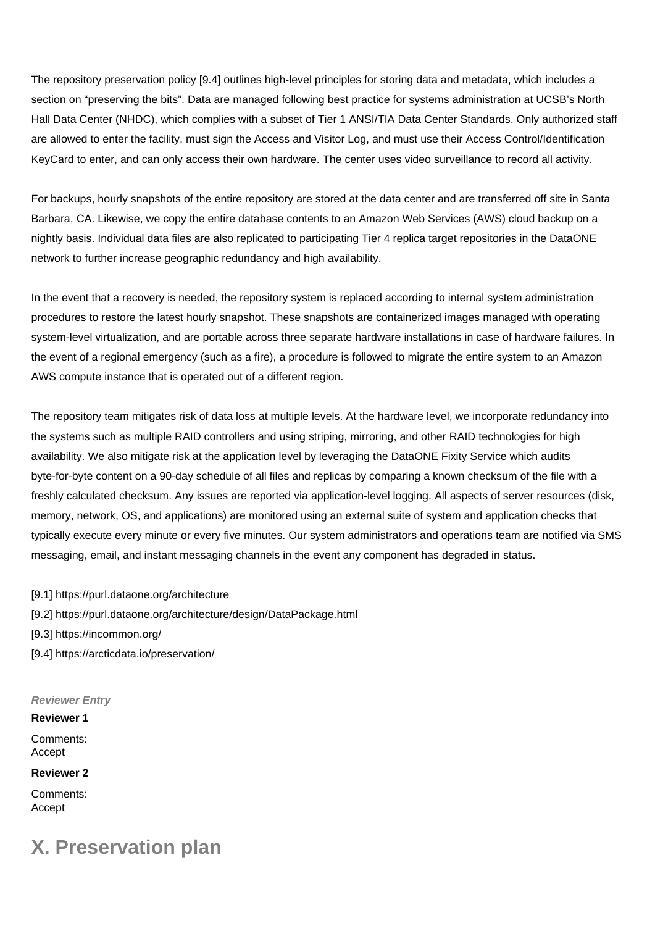The repository preservation policy [9.4] outlines high-level principles for storing data and metadata, which includes a section on "preserving the bits". Data are managed following best practice for systems administration at UCSB's North Hall Data Center (NHDC), which complies with a subset of Tier 1 ANSI/TIA Data Center Standards. Only authorized staff are allowed to enter the facility, must sign the Access and Visitor Log, and must use their Access Control/Identification KeyCard to enter, and can only access their own hardware. The center uses video surveillance to record all activity.

For backups, hourly snapshots of the entire repository are stored at the data center and are transferred off site in Santa Barbara, CA. Likewise, we copy the entire database contents to an Amazon Web Services (AWS) cloud backup on a nightly basis. Individual data files are also replicated to participating Tier 4 replica target repositories in the DataONE network to further increase geographic redundancy and high availability.

In the event that a recovery is needed, the repository system is replaced according to internal system administration procedures to restore the latest hourly snapshot. These snapshots are containerized images managed with operating system-level virtualization, and are portable across three separate hardware installations in case of hardware failures. In the event of a regional emergency (such as a fire), a procedure is followed to migrate the entire system to an Amazon AWS compute instance that is operated out of a different region.

The repository team mitigates risk of data loss at multiple levels. At the hardware level, we incorporate redundancy into the systems such as multiple RAID controllers and using striping, mirroring, and other RAID technologies for high availability. We also mitigate risk at the application level by leveraging the DataONE Fixity Service which audits byte-for-byte content on a 90-day schedule of all files and replicas by comparing a known checksum of the file with a freshly calculated checksum. Any issues are reported via application-level logging. All aspects of server resources (disk, memory, network, OS, and applications) are monitored using an external suite of system and application checks that typically execute every minute or every five minutes. Our system administrators and operations team are notified via SMS messaging, email, and instant messaging channels in the event any component has degraded in status.

- [9.1] https://purl.dataone.org/architecture
- [9.2] https://purl.dataone.org/architecture/design/DataPackage.html
- [9.3] https://incommon.org/
- [9.4] https://arcticdata.io/preservation/

**Reviewer Entry**

**Reviewer 1** Comments: Accept

**Reviewer 2**

Comments: Accept

## **X. Preservation plan**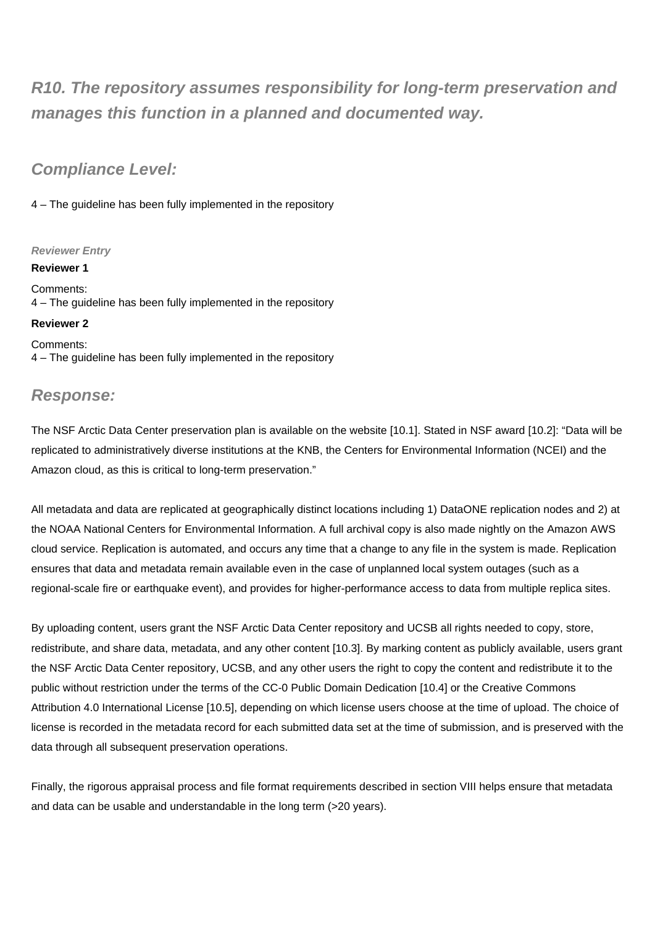## **R10. The repository assumes responsibility for long-term preservation and manages this function in a planned and documented way.**

## **Compliance Level:**

4 – The guideline has been fully implemented in the repository

#### **Reviewer Entry**

**Reviewer 1** Comments: 4 – The guideline has been fully implemented in the repository

#### **Reviewer 2**

Comments: 4 – The guideline has been fully implemented in the repository

## **Response:**

The NSF Arctic Data Center preservation plan is available on the website [10.1]. Stated in NSF award [10.2]: "Data will be replicated to administratively diverse institutions at the KNB, the Centers for Environmental Information (NCEI) and the Amazon cloud, as this is critical to long-term preservation."

All metadata and data are replicated at geographically distinct locations including 1) DataONE replication nodes and 2) at the NOAA National Centers for Environmental Information. A full archival copy is also made nightly on the Amazon AWS cloud service. Replication is automated, and occurs any time that a change to any file in the system is made. Replication ensures that data and metadata remain available even in the case of unplanned local system outages (such as a regional-scale fire or earthquake event), and provides for higher-performance access to data from multiple replica sites.

By uploading content, users grant the NSF Arctic Data Center repository and UCSB all rights needed to copy, store, redistribute, and share data, metadata, and any other content [10.3]. By marking content as publicly available, users grant the NSF Arctic Data Center repository, UCSB, and any other users the right to copy the content and redistribute it to the public without restriction under the terms of the CC-0 Public Domain Dedication [10.4] or the Creative Commons Attribution 4.0 International License [10.5], depending on which license users choose at the time of upload. The choice of license is recorded in the metadata record for each submitted data set at the time of submission, and is preserved with the data through all subsequent preservation operations.

Finally, the rigorous appraisal process and file format requirements described in section VIII helps ensure that metadata and data can be usable and understandable in the long term (>20 years).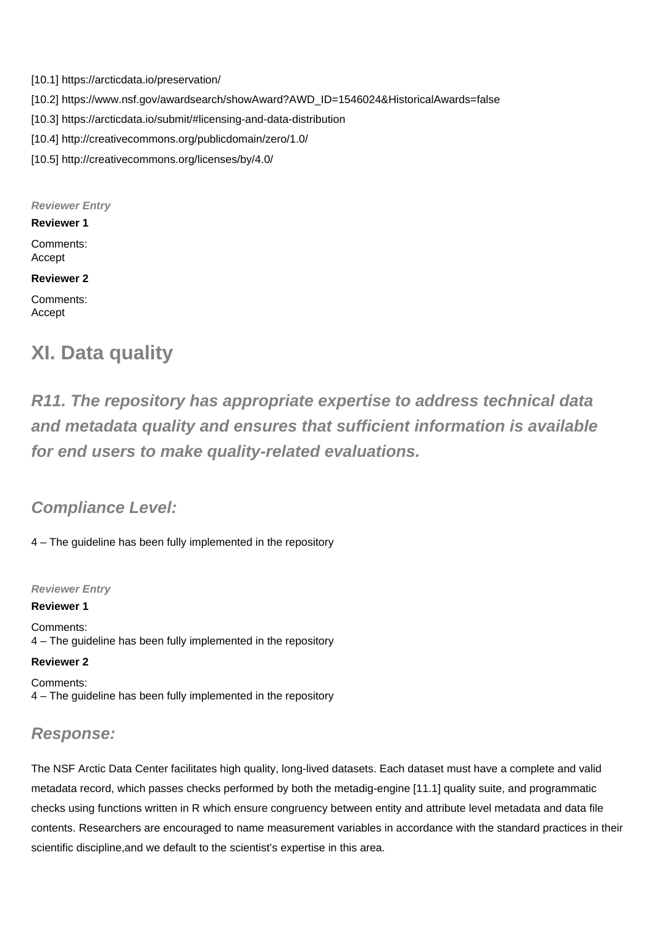- [10.1] https://arcticdata.io/preservation/
- [10.2] https://www.nsf.gov/awardsearch/showAward?AWD\_ID=1546024&HistoricalAwards=false
- [10.3] https://arcticdata.io/submit/#licensing-and-data-distribution
- [10.4] http://creativecommons.org/publicdomain/zero/1.0/
- [10.5] http://creativecommons.org/licenses/by/4.0/

**Reviewer Entry**

**Reviewer 1**

Comments: Accept

#### **Reviewer 2**

Comments: Accept

## **XI. Data quality**

**R11. The repository has appropriate expertise to address technical data and metadata quality and ensures that sufficient information is available for end users to make quality-related evaluations.**

## **Compliance Level:**

4 – The guideline has been fully implemented in the repository

**Reviewer Entry**

**Reviewer 1** Comments: 4 – The guideline has been fully implemented in the repository

#### **Reviewer 2**

Comments: 4 – The guideline has been fully implemented in the repository

## **Response:**

The NSF Arctic Data Center facilitates high quality, long-lived datasets. Each dataset must have a complete and valid metadata record, which passes checks performed by both the metadig-engine [11.1] quality suite, and programmatic checks using functions written in R which ensure congruency between entity and attribute level metadata and data file contents. Researchers are encouraged to name measurement variables in accordance with the standard practices in their scientific discipline,and we default to the scientist's expertise in this area.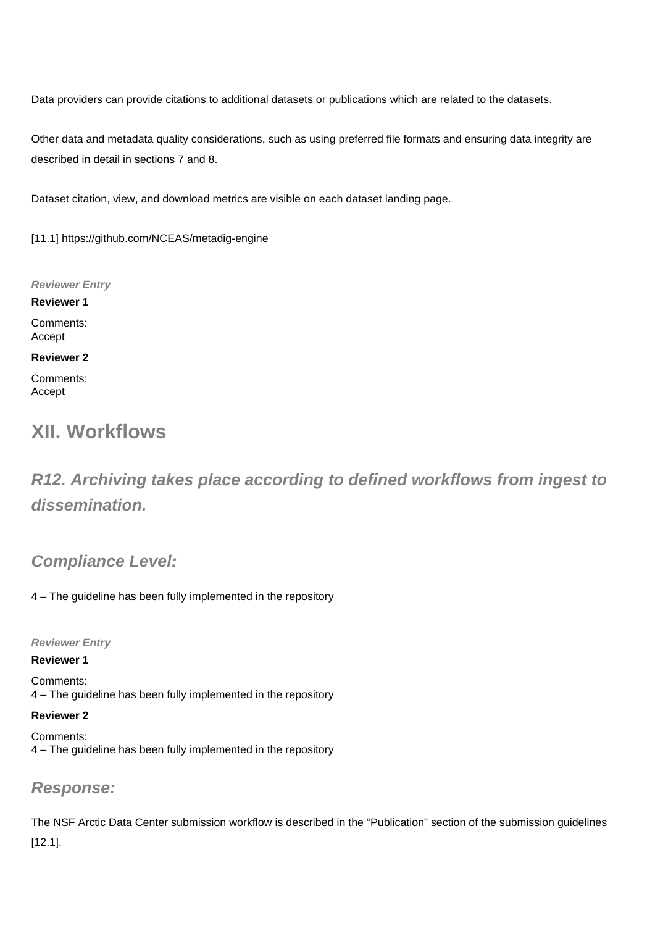Data providers can provide citations to additional datasets or publications which are related to the datasets.

Other data and metadata quality considerations, such as using preferred file formats and ensuring data integrity are described in detail in sections 7 and 8.

Dataset citation, view, and download metrics are visible on each dataset landing page.

[11.1] https://github.com/NCEAS/metadig-engine

**Reviewer Entry**

**Reviewer 1** Comments: Accept

#### **Reviewer 2**

Comments: Accept

## **XII. Workflows**

**R12. Archiving takes place according to defined workflows from ingest to dissemination.**

## **Compliance Level:**

4 – The guideline has been fully implemented in the repository

**Reviewer Entry**

#### **Reviewer 1**

Comments: 4 – The guideline has been fully implemented in the repository

#### **Reviewer 2**

Comments: 4 – The guideline has been fully implemented in the repository

### **Response:**

The NSF Arctic Data Center submission workflow is described in the "Publication" section of the submission guidelines [12.1].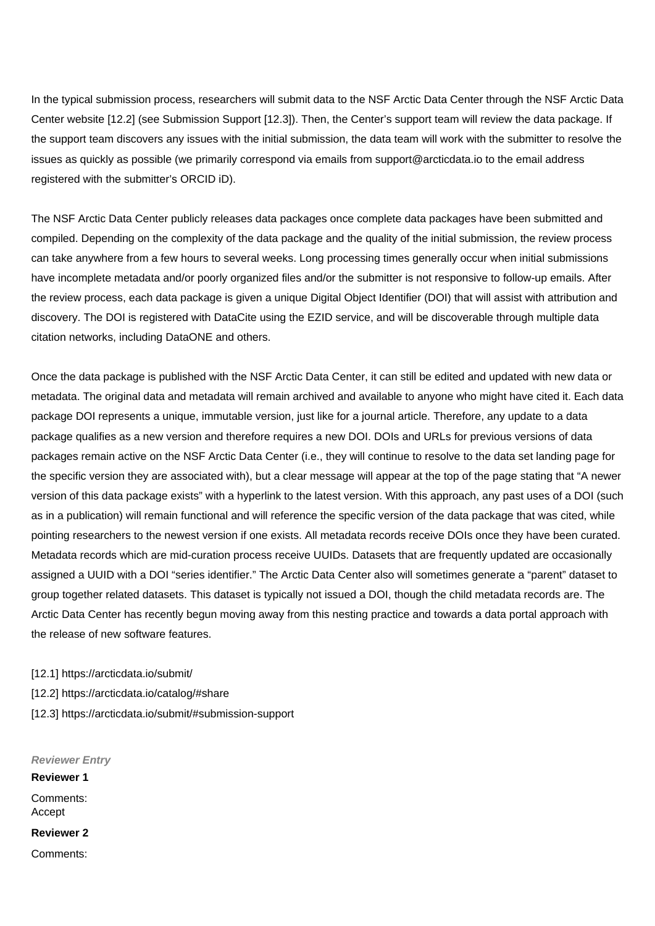In the typical submission process, researchers will submit data to the NSF Arctic Data Center through the NSF Arctic Data Center website [12.2] (see Submission Support [12.3]). Then, the Center's support team will review the data package. If the support team discovers any issues with the initial submission, the data team will work with the submitter to resolve the issues as quickly as possible (we primarily correspond via emails from support@arcticdata.io to the email address registered with the submitter's ORCID iD).

The NSF Arctic Data Center publicly releases data packages once complete data packages have been submitted and compiled. Depending on the complexity of the data package and the quality of the initial submission, the review process can take anywhere from a few hours to several weeks. Long processing times generally occur when initial submissions have incomplete metadata and/or poorly organized files and/or the submitter is not responsive to follow-up emails. After the review process, each data package is given a unique Digital Object Identifier (DOI) that will assist with attribution and discovery. The DOI is registered with DataCite using the EZID service, and will be discoverable through multiple data citation networks, including DataONE and others.

Once the data package is published with the NSF Arctic Data Center, it can still be edited and updated with new data or metadata. The original data and metadata will remain archived and available to anyone who might have cited it. Each data package DOI represents a unique, immutable version, just like for a journal article. Therefore, any update to a data package qualifies as a new version and therefore requires a new DOI. DOIs and URLs for previous versions of data packages remain active on the NSF Arctic Data Center (i.e., they will continue to resolve to the data set landing page for the specific version they are associated with), but a clear message will appear at the top of the page stating that "A newer version of this data package exists" with a hyperlink to the latest version. With this approach, any past uses of a DOI (such as in a publication) will remain functional and will reference the specific version of the data package that was cited, while pointing researchers to the newest version if one exists. All metadata records receive DOIs once they have been curated. Metadata records which are mid-curation process receive UUIDs. Datasets that are frequently updated are occasionally assigned a UUID with a DOI "series identifier." The Arctic Data Center also will sometimes generate a "parent" dataset to group together related datasets. This dataset is typically not issued a DOI, though the child metadata records are. The Arctic Data Center has recently begun moving away from this nesting practice and towards a data portal approach with the release of new software features.

[12.1] https://arcticdata.io/submit/

- [12.2] https://arcticdata.io/catalog/#share
- [12.3] https://arcticdata.io/submit/#submission-support

**Reviewer Entry Reviewer 1** Comments: Accept **Reviewer 2** Comments: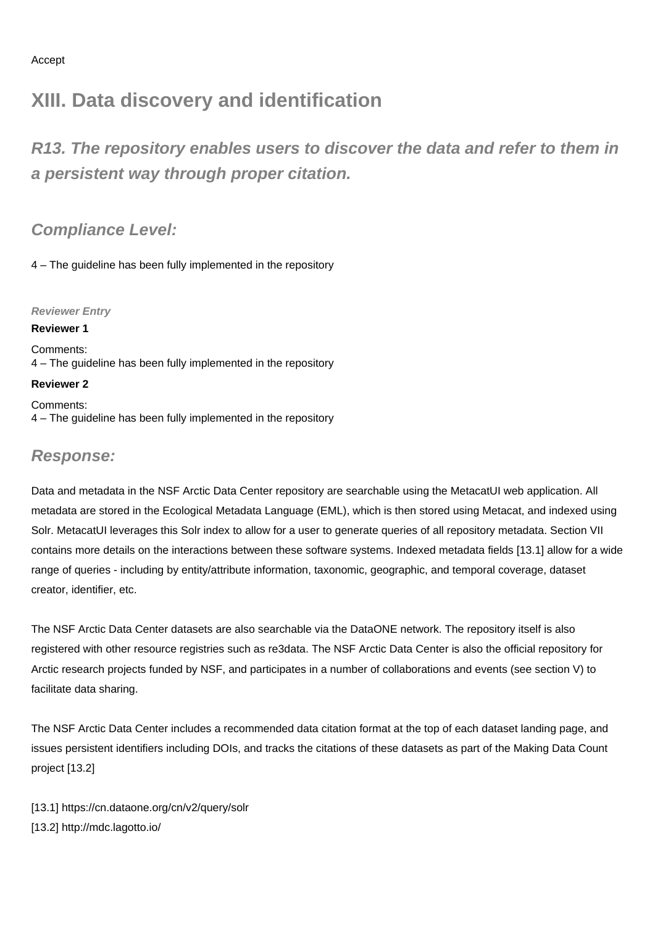## **XIII. Data discovery and identification**

**R13. The repository enables users to discover the data and refer to them in a persistent way through proper citation.**

**Compliance Level:**

4 – The guideline has been fully implemented in the repository

**Reviewer Entry**

#### **Reviewer 1**

Comments: 4 – The guideline has been fully implemented in the repository

### **Reviewer 2**

Comments: 4 – The guideline has been fully implemented in the repository

## **Response:**

Data and metadata in the NSF Arctic Data Center repository are searchable using the MetacatUI web application. All metadata are stored in the Ecological Metadata Language (EML), which is then stored using Metacat, and indexed using Solr. MetacatUI leverages this Solr index to allow for a user to generate queries of all repository metadata. Section VII contains more details on the interactions between these software systems. Indexed metadata fields [13.1] allow for a wide range of queries - including by entity/attribute information, taxonomic, geographic, and temporal coverage, dataset creator, identifier, etc.

The NSF Arctic Data Center datasets are also searchable via the DataONE network. The repository itself is also registered with other resource registries such as re3data. The NSF Arctic Data Center is also the official repository for Arctic research projects funded by NSF, and participates in a number of collaborations and events (see section V) to facilitate data sharing.

The NSF Arctic Data Center includes a recommended data citation format at the top of each dataset landing page, and issues persistent identifiers including DOIs, and tracks the citations of these datasets as part of the Making Data Count project [13.2]

[13.1] https://cn.dataone.org/cn/v2/query/solr [13.2] http://mdc.lagotto.io/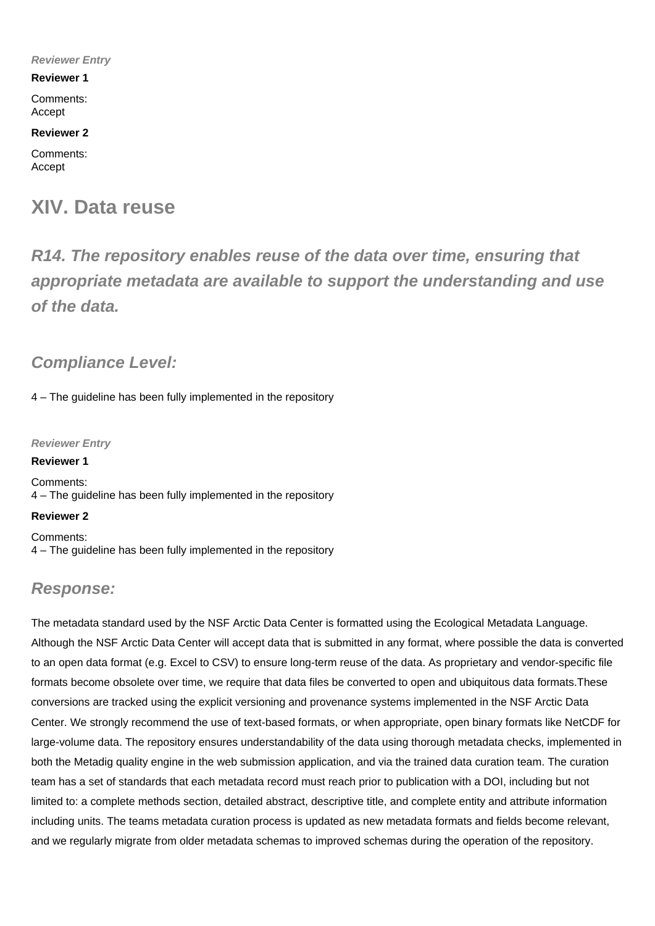#### **Reviewer Entry**

#### **Reviewer 1**

Comments: Accept

#### **Reviewer 2**

Comments: Accept

## **XIV. Data reuse**

**R14. The repository enables reuse of the data over time, ensuring that appropriate metadata are available to support the understanding and use of the data.**

## **Compliance Level:**

4 – The guideline has been fully implemented in the repository

#### **Reviewer Entry**

Comments: 4 – The guideline has been fully implemented in the repository

#### **Reviewer 2**

**Reviewer 1**

Comments: 4 – The guideline has been fully implemented in the repository

## **Response:**

The metadata standard used by the NSF Arctic Data Center is formatted using the Ecological Metadata Language. Although the NSF Arctic Data Center will accept data that is submitted in any format, where possible the data is converted to an open data format (e.g. Excel to CSV) to ensure long-term reuse of the data. As proprietary and vendor-specific file formats become obsolete over time, we require that data files be converted to open and ubiquitous data formats.These conversions are tracked using the explicit versioning and provenance systems implemented in the NSF Arctic Data Center. We strongly recommend the use of text-based formats, or when appropriate, open binary formats like NetCDF for large-volume data. The repository ensures understandability of the data using thorough metadata checks, implemented in both the Metadig quality engine in the web submission application, and via the trained data curation team. The curation team has a set of standards that each metadata record must reach prior to publication with a DOI, including but not limited to: a complete methods section, detailed abstract, descriptive title, and complete entity and attribute information including units. The teams metadata curation process is updated as new metadata formats and fields become relevant, and we regularly migrate from older metadata schemas to improved schemas during the operation of the repository.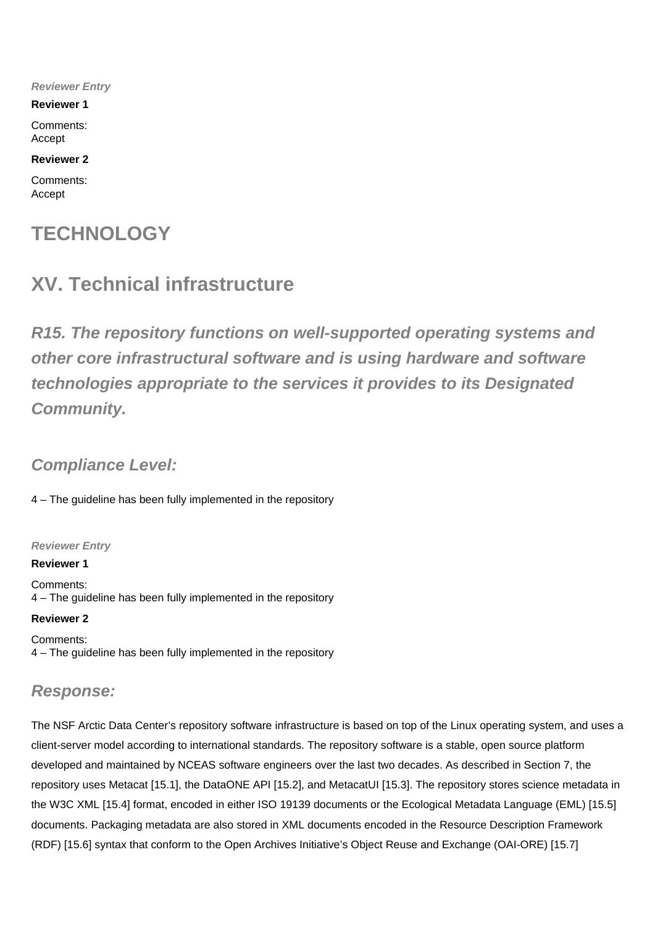**Reviewer Entry**

**Reviewer 1**

Comments: Accept

#### **Reviewer 2**

Comments: Accept

## **TECHNOLOGY**

## **XV. Technical infrastructure**

**R15. The repository functions on well-supported operating systems and other core infrastructural software and is using hardware and software technologies appropriate to the services it provides to its Designated Community.**

## **Compliance Level:**

4 – The guideline has been fully implemented in the repository

#### **Reviewer Entry**

**Reviewer 1**

Comments: 4 – The guideline has been fully implemented in the repository

**Reviewer 2**

Comments: 4 – The guideline has been fully implemented in the repository

## **Response:**

The NSF Arctic Data Center's repository software infrastructure is based on top of the Linux operating system, and uses a client-server model according to international standards. The repository software is a stable, open source platform developed and maintained by NCEAS software engineers over the last two decades. As described in Section 7, the repository uses Metacat [15.1], the DataONE API [15.2], and MetacatUI [15.3]. The repository stores science metadata in the W3C XML [15.4] format, encoded in either ISO 19139 documents or the Ecological Metadata Language (EML) [15.5] documents. Packaging metadata are also stored in XML documents encoded in the Resource Description Framework (RDF) [15.6] syntax that conform to the Open Archives Initiative's Object Reuse and Exchange (OAI-ORE) [15.7]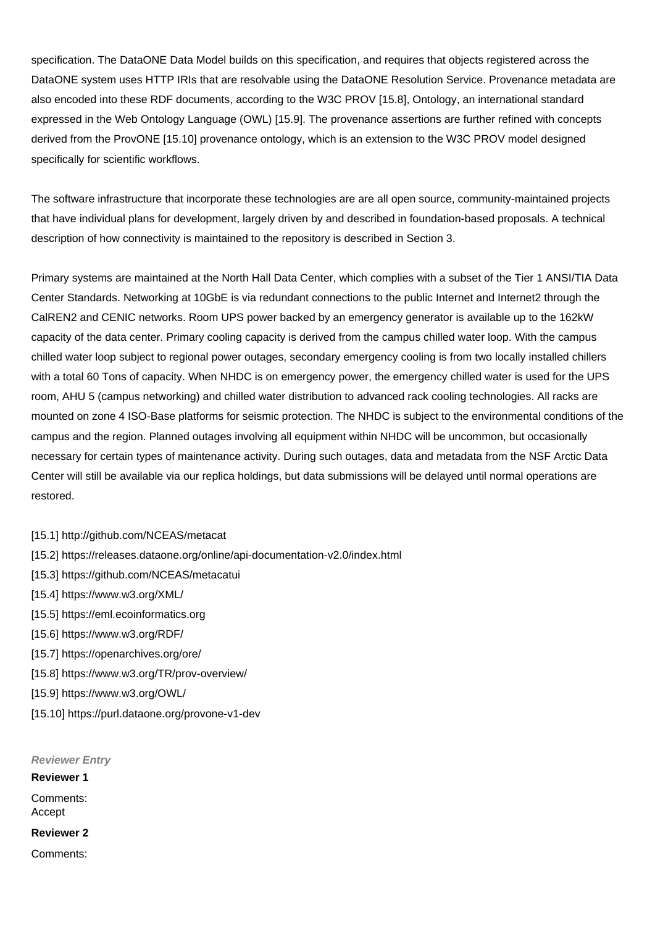specification. The DataONE Data Model builds on this specification, and requires that objects registered across the DataONE system uses HTTP IRIs that are resolvable using the DataONE Resolution Service. Provenance metadata are also encoded into these RDF documents, according to the W3C PROV [15.8], Ontology, an international standard expressed in the Web Ontology Language (OWL) [15.9]. The provenance assertions are further refined with concepts derived from the ProvONE [15.10] provenance ontology, which is an extension to the W3C PROV model designed specifically for scientific workflows.

The software infrastructure that incorporate these technologies are are all open source, community-maintained projects that have individual plans for development, largely driven by and described in foundation-based proposals. A technical description of how connectivity is maintained to the repository is described in Section 3.

Primary systems are maintained at the North Hall Data Center, which complies with a subset of the Tier 1 ANSI/TIA Data Center Standards. Networking at 10GbE is via redundant connections to the public Internet and Internet2 through the CalREN2 and CENIC networks. Room UPS power backed by an emergency generator is available up to the 162kW capacity of the data center. Primary cooling capacity is derived from the campus chilled water loop. With the campus chilled water loop subject to regional power outages, secondary emergency cooling is from two locally installed chillers with a total 60 Tons of capacity. When NHDC is on emergency power, the emergency chilled water is used for the UPS room, AHU 5 (campus networking) and chilled water distribution to advanced rack cooling technologies. All racks are mounted on zone 4 ISO-Base platforms for seismic protection. The NHDC is subject to the environmental conditions of the campus and the region. Planned outages involving all equipment within NHDC will be uncommon, but occasionally necessary for certain types of maintenance activity. During such outages, data and metadata from the NSF Arctic Data Center will still be available via our replica holdings, but data submissions will be delayed until normal operations are restored.

[15.1] http://github.com/NCEAS/metacat

- [15.2] https://releases.dataone.org/online/api-documentation-v2.0/index.html
- [15.3] https://github.com/NCEAS/metacatui
- [15.4] https://www.w3.org/XML/
- [15.5] https://eml.ecoinformatics.org
- [15.6] https://www.w3.org/RDF/
- [15.7] https://openarchives.org/ore/
- [15.8] https://www.w3.org/TR/prov-overview/
- [15.9] https://www.w3.org/OWL/
- [15.10] https://purl.dataone.org/provone-v1-dev

**Reviewer Entry Reviewer 1** Comments: Accept **Reviewer 2** Comments: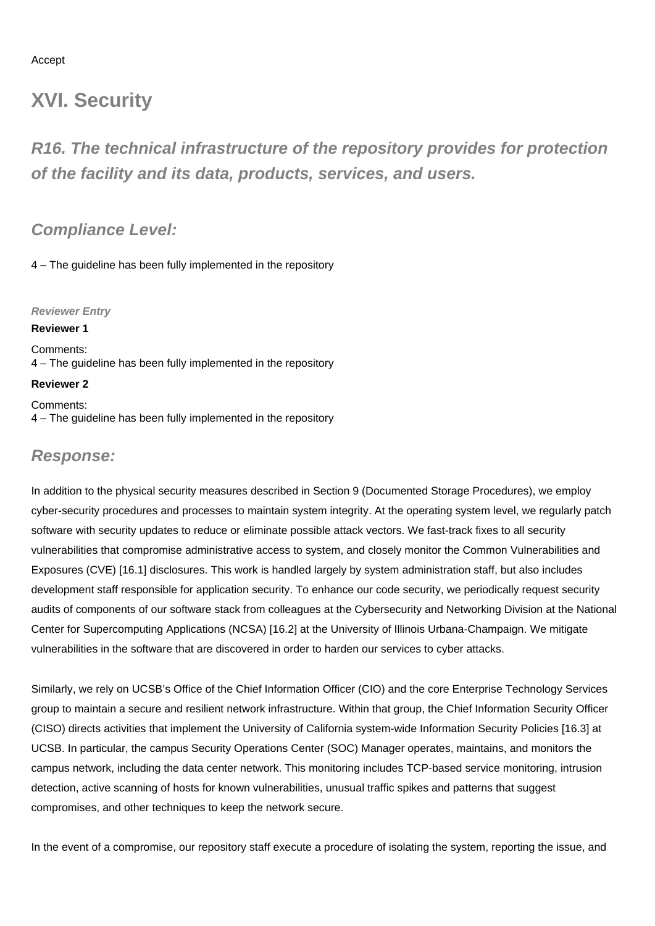#### Accept

## **XVI. Security**

**R16. The technical infrastructure of the repository provides for protection of the facility and its data, products, services, and users.**

### **Compliance Level:**

4 – The guideline has been fully implemented in the repository

#### **Reviewer Entry**

#### **Reviewer 1**

Comments: 4 – The guideline has been fully implemented in the repository

### **Reviewer 2**

Comments: 4 – The guideline has been fully implemented in the repository

### **Response:**

In addition to the physical security measures described in Section 9 (Documented Storage Procedures), we employ cyber-security procedures and processes to maintain system integrity. At the operating system level, we regularly patch software with security updates to reduce or eliminate possible attack vectors. We fast-track fixes to all security vulnerabilities that compromise administrative access to system, and closely monitor the Common Vulnerabilities and Exposures (CVE) [16.1] disclosures. This work is handled largely by system administration staff, but also includes development staff responsible for application security. To enhance our code security, we periodically request security audits of components of our software stack from colleagues at the Cybersecurity and Networking Division at the National Center for Supercomputing Applications (NCSA) [16.2] at the University of Illinois Urbana-Champaign. We mitigate vulnerabilities in the software that are discovered in order to harden our services to cyber attacks.

Similarly, we rely on UCSB's Office of the Chief Information Officer (CIO) and the core Enterprise Technology Services group to maintain a secure and resilient network infrastructure. Within that group, the Chief Information Security Officer (CISO) directs activities that implement the University of California system-wide Information Security Policies [16.3] at UCSB. In particular, the campus Security Operations Center (SOC) Manager operates, maintains, and monitors the campus network, including the data center network. This monitoring includes TCP-based service monitoring, intrusion detection, active scanning of hosts for known vulnerabilities, unusual traffic spikes and patterns that suggest compromises, and other techniques to keep the network secure.

In the event of a compromise, our repository staff execute a procedure of isolating the system, reporting the issue, and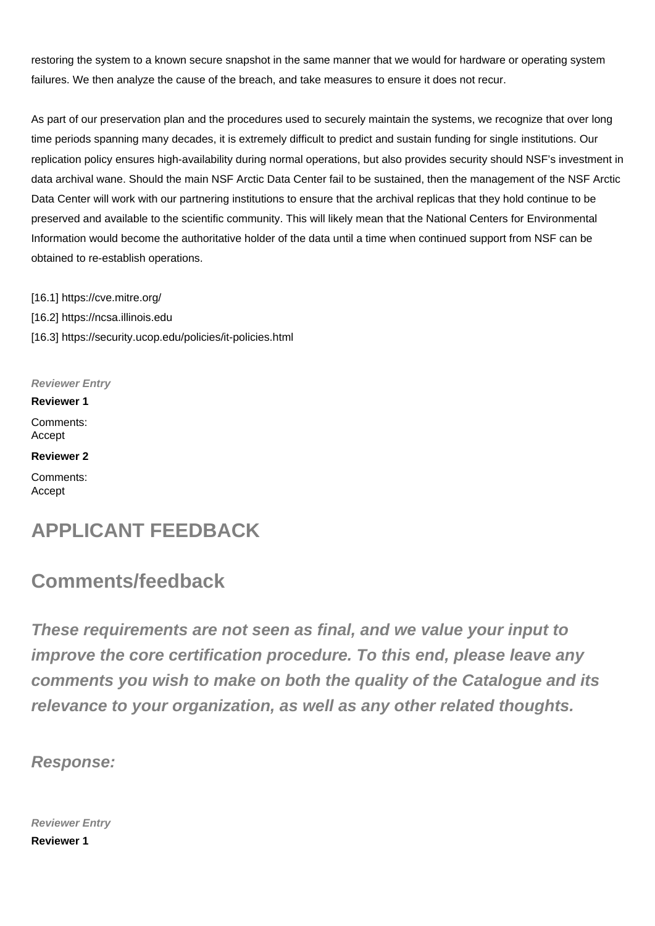restoring the system to a known secure snapshot in the same manner that we would for hardware or operating system failures. We then analyze the cause of the breach, and take measures to ensure it does not recur.

As part of our preservation plan and the procedures used to securely maintain the systems, we recognize that over long time periods spanning many decades, it is extremely difficult to predict and sustain funding for single institutions. Our replication policy ensures high-availability during normal operations, but also provides security should NSF's investment in data archival wane. Should the main NSF Arctic Data Center fail to be sustained, then the management of the NSF Arctic Data Center will work with our partnering institutions to ensure that the archival replicas that they hold continue to be preserved and available to the scientific community. This will likely mean that the National Centers for Environmental Information would become the authoritative holder of the data until a time when continued support from NSF can be obtained to re-establish operations.

[16.1] https://cve.mitre.org/ [16.2] https://ncsa.illinois.edu [16.3] https://security.ucop.edu/policies/it-policies.html

#### **Reviewer Entry**

**Reviewer 1**

Comments: Accept

**Reviewer 2**

Comments: Accept

## **APPLICANT FEEDBACK**

## **Comments/feedback**

**These requirements are not seen as final, and we value your input to improve the core certification procedure. To this end, please leave any comments you wish to make on both the quality of the Catalogue and its relevance to your organization, as well as any other related thoughts.**

**Response:**

**Reviewer Entry Reviewer 1**